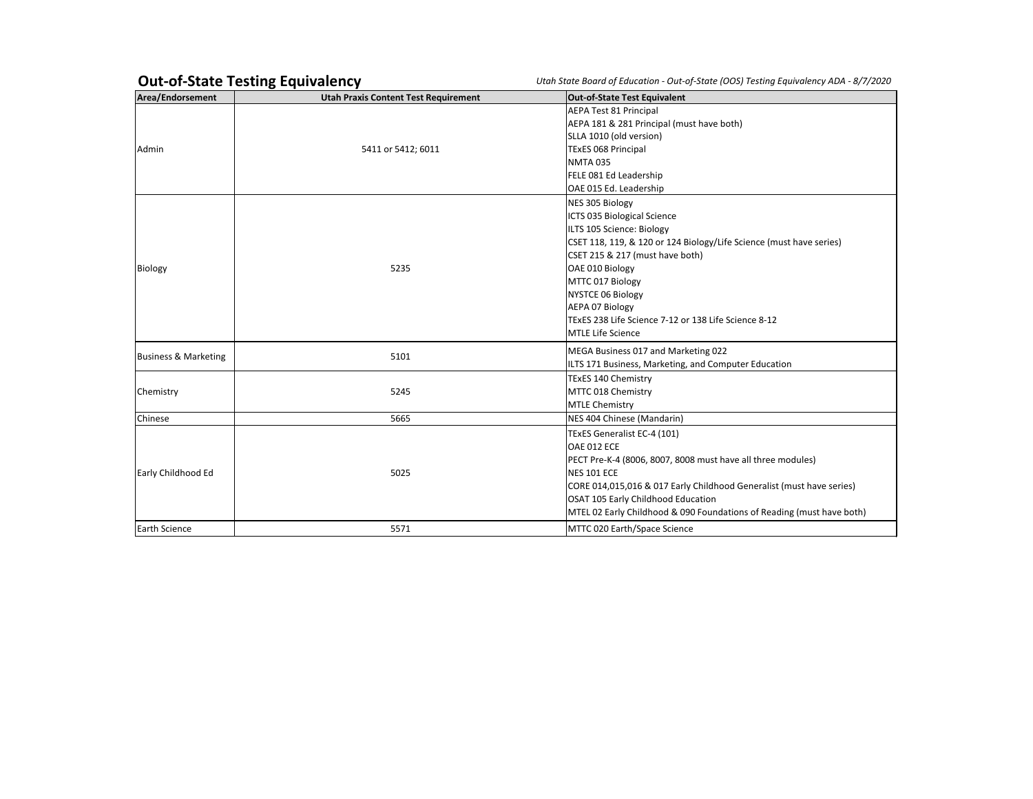## **Out-of-State Testing Equivalency** *<i>Utah State Board of Education - Out-of-State (OOS) Testing Equivalency*

| Area/Endorsement                | <b>Utah Praxis Content Test Requirement</b> | <b>Out-of-State Test Equivalent</b>                                        |
|---------------------------------|---------------------------------------------|----------------------------------------------------------------------------|
|                                 |                                             | <b>AEPA Test 81 Principal</b><br>AEPA 181 & 281 Principal (must have both) |
|                                 |                                             | SLLA 1010 (old version)                                                    |
| l Admin                         | 5411 or 5412; 6011                          | <b>TExES 068 Principal</b>                                                 |
|                                 |                                             | <b>NMTA 035</b>                                                            |
|                                 |                                             | FELE 081 Ed Leadership                                                     |
|                                 |                                             | OAE 015 Ed. Leadership                                                     |
|                                 |                                             | NES 305 Biology                                                            |
|                                 |                                             | ICTS 035 Biological Science                                                |
|                                 |                                             | ILTS 105 Science: Biology                                                  |
|                                 |                                             | CSET 118, 119, & 120 or 124 Biology/Life Science (must have series)        |
|                                 |                                             | CSET 215 & 217 (must have both)                                            |
| Biology                         | 5235                                        | OAE 010 Biology                                                            |
|                                 |                                             | MTTC 017 Biology                                                           |
|                                 |                                             | <b>NYSTCE 06 Biology</b>                                                   |
|                                 |                                             | <b>AEPA 07 Biology</b>                                                     |
|                                 |                                             | TExES 238 Life Science 7-12 or 138 Life Science 8-12                       |
|                                 |                                             | <b>MTLE Life Science</b>                                                   |
| <b>Business &amp; Marketing</b> | 5101                                        | MEGA Business 017 and Marketing 022                                        |
|                                 |                                             | ILTS 171 Business, Marketing, and Computer Education                       |
|                                 |                                             | TExES 140 Chemistry                                                        |
| Chemistry                       | 5245                                        | MTTC 018 Chemistry                                                         |
|                                 |                                             | <b>MTLE Chemistry</b>                                                      |
| Chinese                         | 5665                                        | NES 404 Chinese (Mandarin)                                                 |
|                                 |                                             | TExES Generalist EC-4 (101)                                                |
|                                 |                                             | OAE 012 ECE                                                                |
|                                 |                                             | PECT Pre-K-4 (8006, 8007, 8008 must have all three modules)                |
| Early Childhood Ed              | 5025                                        | <b>NES 101 ECE</b>                                                         |
|                                 |                                             | CORE 014,015,016 & 017 Early Childhood Generalist (must have series)       |
|                                 |                                             | OSAT 105 Early Childhood Education                                         |
|                                 |                                             | MTEL 02 Early Childhood & 090 Foundations of Reading (must have both)      |
| <b>Earth Science</b>            | 5571                                        | MTTC 020 Earth/Space Science                                               |

| ncy ADA - 8/7/2020 |
|--------------------|
|                    |
|                    |
|                    |
|                    |
|                    |
|                    |
|                    |
|                    |
|                    |
| series)            |
|                    |
|                    |
|                    |
|                    |
|                    |
|                    |
|                    |
|                    |
|                    |
|                    |
|                    |
|                    |
| )                  |
| ave series)        |
| st have both)      |
|                    |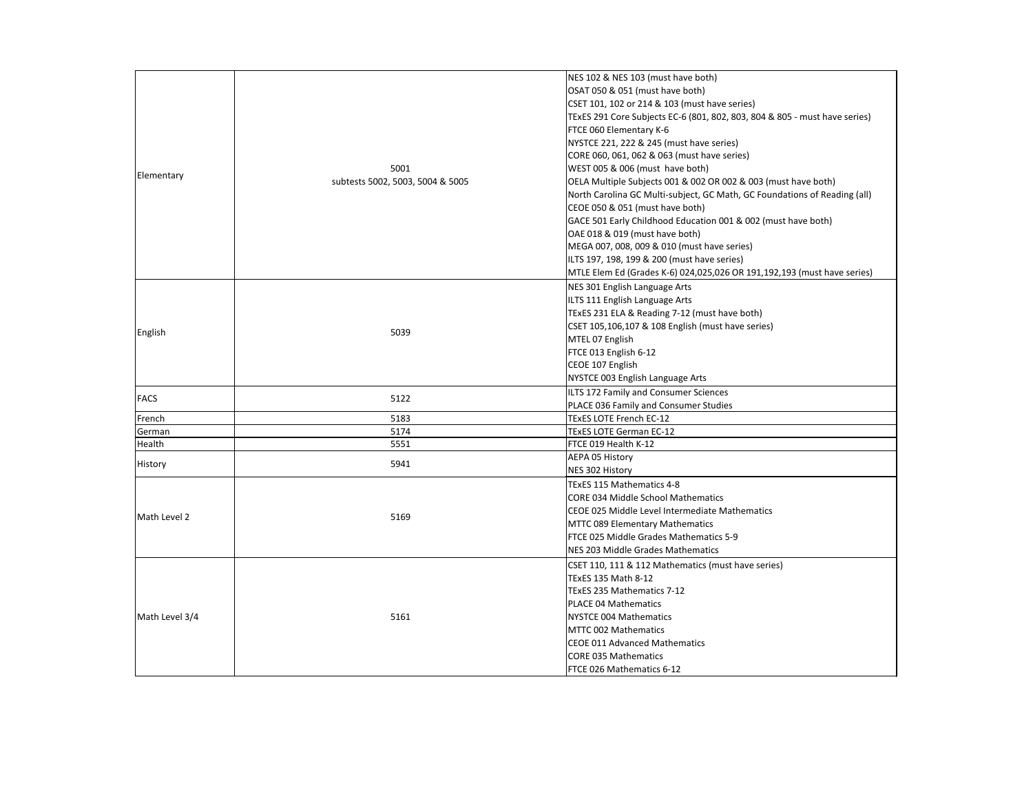

|                |                                          | NES 102 & NES 103 (must have both)                                |
|----------------|------------------------------------------|-------------------------------------------------------------------|
|                |                                          | OSAT 050 & 051 (must have both)                                   |
|                |                                          | CSET 101, 102 or 214 & 103 (must have series)                     |
|                |                                          | TExES 291 Core Subjects EC-6 (801, 802, 803, 804 & 805 - must hav |
|                |                                          | FTCE 060 Elementary K-6                                           |
|                |                                          | NYSTCE 221, 222 & 245 (must have series)                          |
|                | 5001<br>subtests 5002, 5003, 5004 & 5005 | CORE 060, 061, 062 & 063 (must have series)                       |
|                |                                          | WEST 005 & 006 (must have both)                                   |
| Elementary     |                                          | OELA Multiple Subjects 001 & 002 OR 002 & 003 (must have both)    |
|                |                                          | North Carolina GC Multi-subject, GC Math, GC Foundations of Rea   |
|                |                                          | CEOE 050 & 051 (must have both)                                   |
|                |                                          | GACE 501 Early Childhood Education 001 & 002 (must have both)     |
|                |                                          | OAE 018 & 019 (must have both)                                    |
|                |                                          | MEGA 007, 008, 009 & 010 (must have series)                       |
|                |                                          | ILTS 197, 198, 199 & 200 (must have series)                       |
|                |                                          | MTLE Elem Ed (Grades K-6) 024,025,026 OR 191,192,193 (must hav    |
|                |                                          | NES 301 English Language Arts                                     |
|                |                                          | ILTS 111 English Language Arts                                    |
|                |                                          | TExES 231 ELA & Reading 7-12 (must have both)                     |
|                | 5039                                     | CSET 105,106,107 & 108 English (must have series)                 |
| English        |                                          | MTEL 07 English                                                   |
|                |                                          | FTCE 013 English 6-12                                             |
|                |                                          | CEOE 107 English                                                  |
|                |                                          | NYSTCE 003 English Language Arts                                  |
| <b>FACS</b>    | 5122                                     | <b>ILTS 172 Family and Consumer Sciences</b>                      |
|                |                                          | PLACE 036 Family and Consumer Studies                             |
| French         | 5183                                     | <b>TExES LOTE French EC-12</b>                                    |
| German         | 5174                                     | <b>TEXES LOTE German EC-12</b>                                    |
| Health         | 5551                                     | FTCE 019 Health K-12                                              |
| History        | 5941                                     | <b>AEPA 05 History</b>                                            |
|                |                                          | NES 302 History                                                   |
|                |                                          | TExES 115 Mathematics 4-8                                         |
|                | 5169                                     | CORE 034 Middle School Mathematics                                |
| Math Level 2   |                                          | CEOE 025 Middle Level Intermediate Mathematics                    |
|                |                                          | <b>MTTC 089 Elementary Mathematics</b>                            |
|                |                                          | FTCE 025 Middle Grades Mathematics 5-9                            |
|                |                                          | <b>NES 203 Middle Grades Mathematics</b>                          |
|                | 5161                                     | CSET 110, 111 & 112 Mathematics (must have series)                |
|                |                                          | TExES 135 Math 8-12                                               |
|                |                                          | TExES 235 Mathematics 7-12                                        |
|                |                                          | <b>IPLACE 04 Mathematics</b>                                      |
| Math Level 3/4 |                                          | NYSTCE 004 Mathematics                                            |
|                |                                          | MTTC 002 Mathematics                                              |
|                |                                          | CEOE 011 Advanced Mathematics                                     |
|                |                                          | <b>CORE 035 Mathematics</b>                                       |
|                |                                          | FTCE 026 Mathematics 6-12                                         |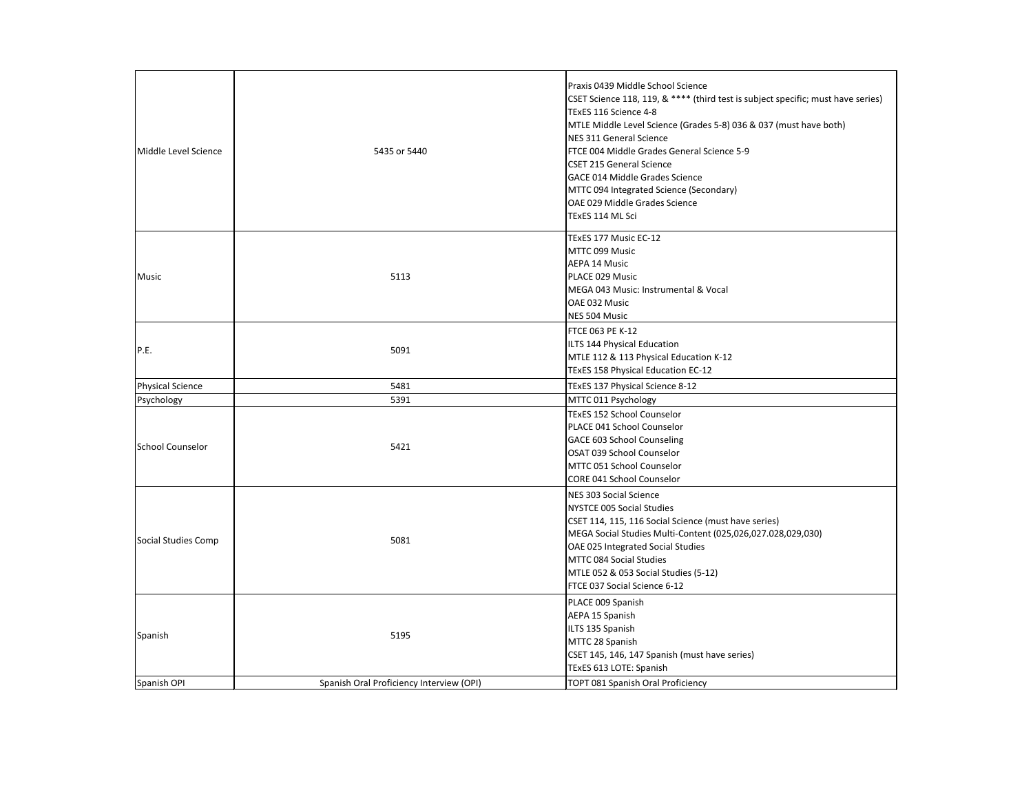

| Middle Level Science    | 5435 or 5440                             | Praxis 0439 Middle School Science<br>CSET Science 118, 119, & **** (third test is subject specific; mu<br>TExES 116 Science 4-8<br>MTLE Middle Level Science (Grades 5-8) 036 & 037 (must have<br>NES 311 General Science<br>FTCE 004 Middle Grades General Science 5-9<br><b>ICSET 215 General Science</b><br><b>GACE 014 Middle Grades Science</b><br>MTTC 094 Integrated Science (Secondary)<br>OAE 029 Middle Grades Science<br>TExES 114 ML Sci |
|-------------------------|------------------------------------------|------------------------------------------------------------------------------------------------------------------------------------------------------------------------------------------------------------------------------------------------------------------------------------------------------------------------------------------------------------------------------------------------------------------------------------------------------|
| <b>Music</b>            | 5113                                     | TExES 177 Music EC-12<br>MTTC 099 Music<br>AEPA 14 Music<br>PLACE 029 Music<br>MEGA 043 Music: Instrumental & Vocal<br><b>OAE 032 Music</b><br>NES 504 Music                                                                                                                                                                                                                                                                                         |
| P.E.                    | 5091                                     | FTCE 063 PE K-12<br>ILTS 144 Physical Education<br>MTLE 112 & 113 Physical Education K-12<br>TExES 158 Physical Education EC-12                                                                                                                                                                                                                                                                                                                      |
| <b>Physical Science</b> | 5481                                     | TExES 137 Physical Science 8-12                                                                                                                                                                                                                                                                                                                                                                                                                      |
| Psychology              | 5391                                     | MTTC 011 Psychology                                                                                                                                                                                                                                                                                                                                                                                                                                  |
| School Counselor        | 5421                                     | <b>TExES 152 School Counselor</b><br>PLACE 041 School Counselor<br><b>GACE 603 School Counseling</b><br>OSAT 039 School Counselor<br>MTTC 051 School Counselor<br><b>CORE 041 School Counselor</b>                                                                                                                                                                                                                                                   |
| Social Studies Comp     | 5081                                     | <b>NES 303 Social Science</b><br>NYSTCE 005 Social Studies<br>CSET 114, 115, 116 Social Science (must have series)<br>MEGA Social Studies Multi-Content (025,026,027.028,029,030)<br>OAE 025 Integrated Social Studies<br>MTTC 084 Social Studies<br>MTLE 052 & 053 Social Studies (5-12)<br>FTCE 037 Social Science 6-12                                                                                                                            |
| Spanish                 | 5195                                     | PLACE 009 Spanish<br>AEPA 15 Spanish<br>ILTS 135 Spanish<br>MTTC 28 Spanish<br>CSET 145, 146, 147 Spanish (must have series)<br>TExES 613 LOTE: Spanish                                                                                                                                                                                                                                                                                              |
| Spanish OPI             | Spanish Oral Proficiency Interview (OPI) | TOPT 081 Spanish Oral Proficiency                                                                                                                                                                                                                                                                                                                                                                                                                    |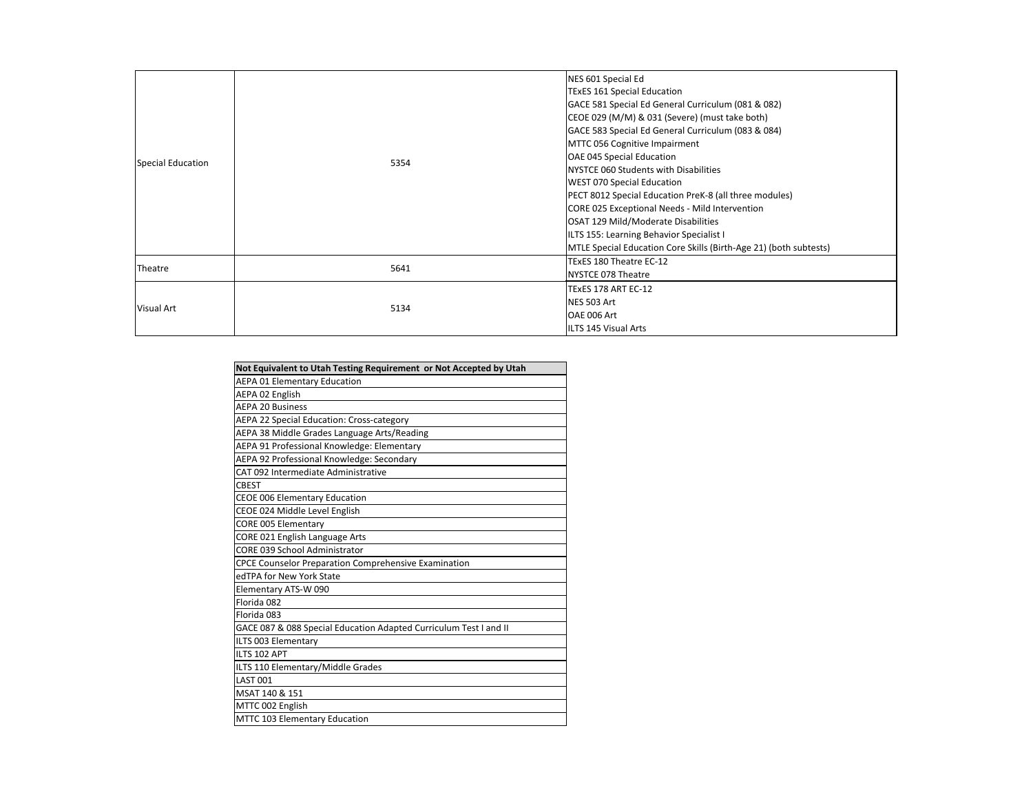| Special Education | 5354 | NES 601 Special Ed<br><b>TExES 161 Special Education</b><br>GACE 581 Special Ed General Curriculum (081 & 082)<br>CEOE 029 (M/M) & 031 (Severe) (must take both)<br>GACE 583 Special Ed General Curriculum (083 & 084)<br>MTTC 056 Cognitive Impairment<br>OAE 045 Special Education<br><b>INYSTCE 060 Students with Disabilities</b><br><b>WEST 070 Special Education</b><br>PECT 8012 Special Education PreK-8 (all three modules)<br>CORE 025 Exceptional Needs - Mild Intervention<br>OSAT 129 Mild/Moderate Disabilities<br>ILTS 155: Learning Behavior Specialist I<br>MTLE Special Education Core Skills (Birth-Age 21) (both subtests) |
|-------------------|------|------------------------------------------------------------------------------------------------------------------------------------------------------------------------------------------------------------------------------------------------------------------------------------------------------------------------------------------------------------------------------------------------------------------------------------------------------------------------------------------------------------------------------------------------------------------------------------------------------------------------------------------------|
| Theatre           | 5641 | TExES 180 Theatre EC-12<br>NYSTCE 078 Theatre                                                                                                                                                                                                                                                                                                                                                                                                                                                                                                                                                                                                  |
| Visual Art        | 5134 | TExES 178 ART EC-12<br>NES 503 Art<br>OAE 006 Art<br>ILTS 145 Visual Arts                                                                                                                                                                                                                                                                                                                                                                                                                                                                                                                                                                      |

| Not Equivalent to Utah Testing Requirement or Not Accepted by Utah |
|--------------------------------------------------------------------|
| <b>AEPA 01 Elementary Education</b>                                |
| AEPA 02 English                                                    |
| <b>AEPA 20 Business</b>                                            |
| <b>AEPA 22 Special Education: Cross-category</b>                   |
| AEPA 38 Middle Grades Language Arts/Reading                        |
| AEPA 91 Professional Knowledge: Elementary                         |
| AEPA 92 Professional Knowledge: Secondary                          |
| CAT 092 Intermediate Administrative                                |
| <b>CBEST</b>                                                       |
| <b>CEOE 006 Elementary Education</b>                               |
| CEOE 024 Middle Level English                                      |
| <b>CORE 005 Elementary</b>                                         |
| CORE 021 English Language Arts                                     |
| <b>CORE 039 School Administrator</b>                               |
| <b>CPCE Counselor Preparation Comprehensive Examination</b>        |
| edTPA for New York State                                           |
| Elementary ATS-W 090                                               |
| Florida 082                                                        |
| Florida 083                                                        |
| GACE 087 & 088 Special Education Adapted Curriculum Test I and II  |
| ILTS 003 Elementary                                                |
| ILTS 102 APT                                                       |
| ILTS 110 Elementary/Middle Grades                                  |
| <b>LAST 001</b>                                                    |
| MSAT 140 & 151                                                     |
| MTTC 002 English                                                   |
| MTTC 103 Elementary Education                                      |

| ulum (081 & 082):              |
|--------------------------------|
| ust take both)                 |
| ulum (083 & 084):              |
|                                |
|                                |
| ies                            |
| 3 (all three modules)          |
| Intervention                   |
| es                             |
| ist I                          |
| (Birth-Age 21) (both subtests) |
|                                |
|                                |
|                                |
|                                |
|                                |
|                                |